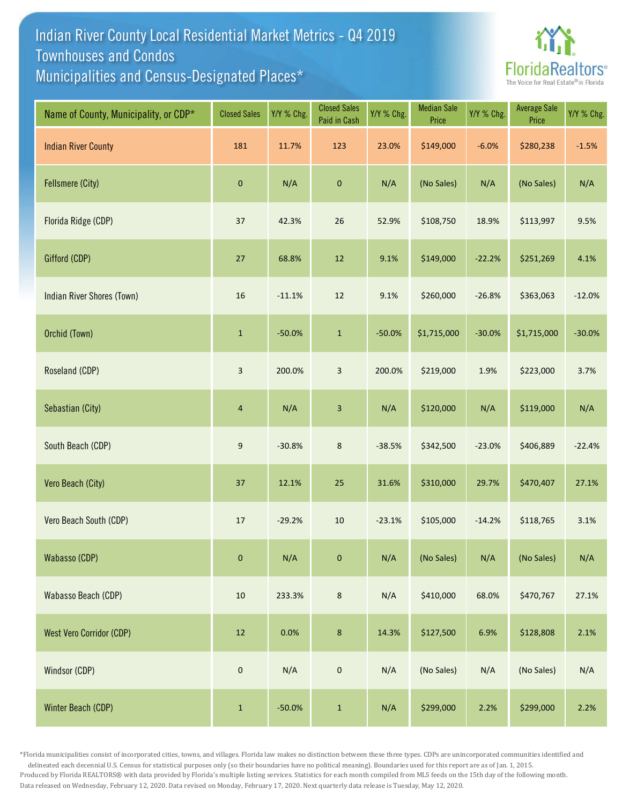## Indian River County Local Residential Market Metrics - Q4 2019 Municipalities and Census-Designated Places\* Townhouses and Condos



| Name of County, Municipality, or CDP* | <b>Closed Sales</b>     | Y/Y % Chg. | <b>Closed Sales</b><br>Paid in Cash | Y/Y % Chg. | <b>Median Sale</b><br>Price | Y/Y % Chg. | <b>Average Sale</b><br>Price | Y/Y % Chg. |
|---------------------------------------|-------------------------|------------|-------------------------------------|------------|-----------------------------|------------|------------------------------|------------|
| <b>Indian River County</b>            | 181                     | 11.7%      | 123                                 | 23.0%      | \$149,000                   | $-6.0%$    | \$280,238                    | $-1.5%$    |
| Fellsmere (City)                      | $\pmb{0}$               | N/A        | $\pmb{0}$                           | N/A        | (No Sales)                  | N/A        | (No Sales)                   | N/A        |
| Florida Ridge (CDP)                   | $37\,$                  | 42.3%      | $26\,$                              | 52.9%      | \$108,750                   | 18.9%      | \$113,997                    | 9.5%       |
| Gifford (CDP)                         | 27                      | 68.8%      | $12\,$                              | 9.1%       | \$149,000                   | $-22.2%$   | \$251,269                    | 4.1%       |
| <b>Indian River Shores (Town)</b>     | 16                      | $-11.1%$   | $12\,$                              | 9.1%       | \$260,000                   | $-26.8%$   | \$363,063                    | $-12.0%$   |
| Orchid (Town)                         | $\mathbf{1}$            | $-50.0%$   | $\mathbf 1$                         | $-50.0%$   | \$1,715,000                 | $-30.0%$   | \$1,715,000                  | $-30.0%$   |
| Roseland (CDP)                        | $\overline{\mathbf{3}}$ | 200.0%     | $\mathbf{3}$                        | 200.0%     | \$219,000                   | 1.9%       | \$223,000                    | 3.7%       |
| Sebastian (City)                      | $\overline{4}$          | N/A        | $\mathbf{3}$                        | N/A        | \$120,000                   | N/A        | \$119,000                    | N/A        |
| South Beach (CDP)                     | $9\,$                   | $-30.8%$   | $\bf 8$                             | $-38.5%$   | \$342,500                   | $-23.0%$   | \$406,889                    | $-22.4%$   |
| Vero Beach (City)                     | $37\,$                  | 12.1%      | $25\,$                              | 31.6%      | \$310,000                   | 29.7%      | \$470,407                    | 27.1%      |
| Vero Beach South (CDP)                | $17\,$                  | $-29.2%$   | $10\,$                              | $-23.1%$   | \$105,000                   | $-14.2%$   | \$118,765                    | 3.1%       |
| Wabasso (CDP)                         | $\mathbf{0}$            | N/A        | $\mathbf{0}$                        | N/A        | (No Sales)                  | N/A        | (No Sales)                   | N/A        |
| Wabasso Beach (CDP)                   | $10\,$                  | 233.3%     | $\bf 8$                             | N/A        | \$410,000                   | 68.0%      | \$470,767                    | 27.1%      |
| <b>West Vero Corridor (CDP)</b>       | $12\,$                  | 0.0%       | $\bf 8$                             | 14.3%      | \$127,500                   | 6.9%       | \$128,808                    | 2.1%       |
| Windsor (CDP)                         | $\pmb{0}$               | N/A        | $\mathbf 0$                         | N/A        | (No Sales)                  | N/A        | (No Sales)                   | N/A        |
| Winter Beach (CDP)                    | $\mathbf 1$             | $-50.0%$   | $\mathbf 1$                         | N/A        | \$299,000                   | 2.2%       | \$299,000                    | 2.2%       |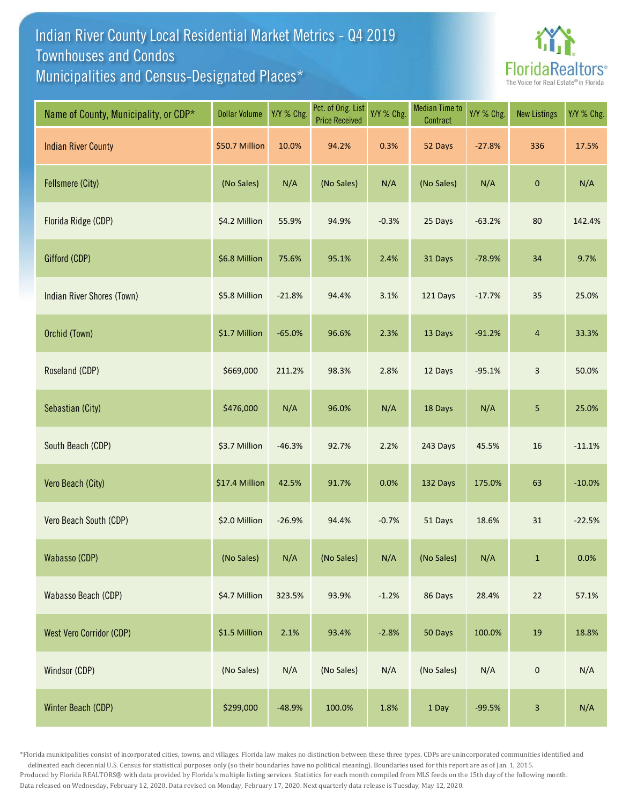## Indian River County Local Residential Market Metrics - Q4 2019 Municipalities and Census-Designated Places\* Townhouses and Condos



| Name of County, Municipality, or CDP* | <b>Dollar Volume</b> | Y/Y % Chg. | Pct. of Orig. List<br><b>Price Received</b> | Y/Y % Chg. | <b>Median Time to</b><br>Contract | Y/Y % Chg. | <b>New Listings</b> | Y/Y % Chg. |
|---------------------------------------|----------------------|------------|---------------------------------------------|------------|-----------------------------------|------------|---------------------|------------|
| <b>Indian River County</b>            | \$50.7 Million       | 10.0%      | 94.2%                                       | 0.3%       | 52 Days                           | $-27.8%$   | 336                 | 17.5%      |
| <b>Fellsmere (City)</b>               | (No Sales)           | N/A        | (No Sales)                                  | N/A        | (No Sales)                        | N/A        | 0                   | N/A        |
| Florida Ridge (CDP)                   | \$4.2 Million        | 55.9%      | 94.9%                                       | $-0.3%$    | 25 Days                           | $-63.2%$   | 80                  | 142.4%     |
| Gifford (CDP)                         | \$6.8 Million        | 75.6%      | 95.1%                                       | 2.4%       | 31 Days                           | $-78.9%$   | 34                  | 9.7%       |
| Indian River Shores (Town)            | \$5.8 Million        | $-21.8%$   | 94.4%                                       | 3.1%       | 121 Days                          | $-17.7%$   | 35                  | 25.0%      |
| Orchid (Town)                         | \$1.7 Million        | $-65.0%$   | 96.6%                                       | 2.3%       | 13 Days                           | $-91.2%$   | 4                   | 33.3%      |
| Roseland (CDP)                        | \$669,000            | 211.2%     | 98.3%                                       | 2.8%       | 12 Days                           | $-95.1%$   | $\mathsf{3}$        | 50.0%      |
| Sebastian (City)                      | \$476,000            | N/A        | 96.0%                                       | N/A        | 18 Days                           | N/A        | 5                   | 25.0%      |
| South Beach (CDP)                     | \$3.7 Million        | $-46.3%$   | 92.7%                                       | 2.2%       | 243 Days                          | 45.5%      | 16                  | $-11.1%$   |
| Vero Beach (City)                     | \$17.4 Million       | 42.5%      | 91.7%                                       | 0.0%       | 132 Days                          | 175.0%     | 63                  | $-10.0%$   |
| Vero Beach South (CDP)                | \$2.0 Million        | $-26.9%$   | 94.4%                                       | $-0.7%$    | 51 Days                           | 18.6%      | $31\,$              | $-22.5%$   |
| Wabasso (CDP)                         | (No Sales)           | N/A        | (No Sales)                                  | N/A        | (No Sales)                        | N/A        | $\mathbf{1}$        | 0.0%       |
| Wabasso Beach (CDP)                   | \$4.7 Million        | 323.5%     | 93.9%                                       | $-1.2%$    | 86 Days                           | 28.4%      | 22                  | 57.1%      |
| <b>West Vero Corridor (CDP)</b>       | \$1.5 Million        | 2.1%       | 93.4%                                       | $-2.8%$    | 50 Days                           | 100.0%     | 19                  | 18.8%      |
| Windsor (CDP)                         | (No Sales)           | N/A        | (No Sales)                                  | N/A        | (No Sales)                        | N/A        | $\mathbf 0$         | N/A        |
| Winter Beach (CDP)                    | \$299,000            | $-48.9%$   | 100.0%                                      | 1.8%       | 1 Day                             | $-99.5%$   | 3                   | N/A        |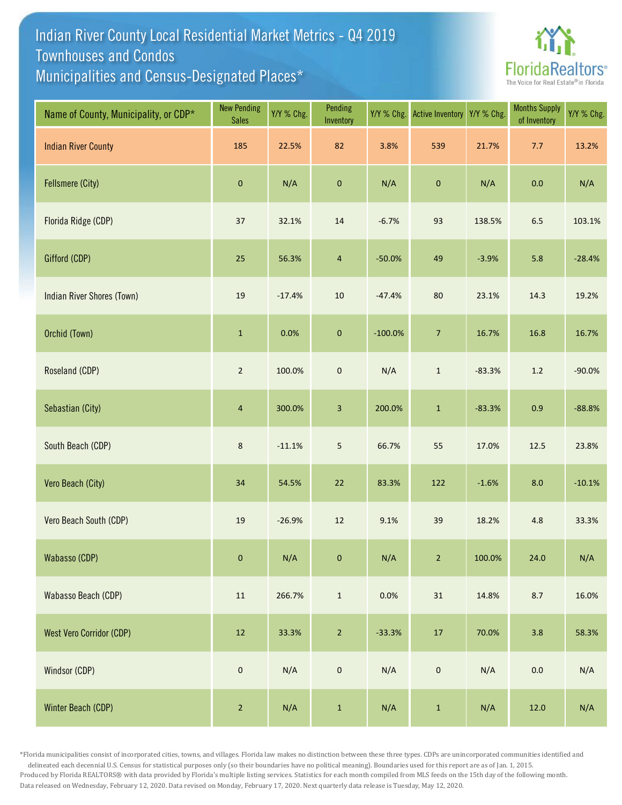## Indian River County Local Residential Market Metrics - Q4 2019 Municipalities and Census-Designated Places\* Townhouses and Condos



| Name of County, Municipality, or CDP* | <b>New Pending</b><br><b>Sales</b> | Y/Y % Chg. | Pending<br>Inventory | Y/Y % Chg. | <b>Active Inventory</b> | Y/Y % Chg. | <b>Months Supply</b><br>of Inventory | Y/Y % Chg. |
|---------------------------------------|------------------------------------|------------|----------------------|------------|-------------------------|------------|--------------------------------------|------------|
| <b>Indian River County</b>            | 185                                | 22.5%      | 82                   | 3.8%       | 539                     | 21.7%      | 7.7                                  | 13.2%      |
| Fellsmere (City)                      | $\pmb{0}$                          | N/A        | $\pmb{0}$            | N/A        | $\pmb{0}$               | N/A        | 0.0                                  | N/A        |
| Florida Ridge (CDP)                   | $37\,$                             | 32.1%      | $14\,$               | $-6.7%$    | 93                      | 138.5%     | $6.5\,$                              | 103.1%     |
| Gifford (CDP)                         | 25                                 | 56.3%      | $\overline{4}$       | $-50.0%$   | 49                      | $-3.9%$    | 5.8                                  | $-28.4%$   |
| Indian River Shores (Town)            | 19                                 | $-17.4%$   | $10\,$               | $-47.4%$   | 80                      | 23.1%      | 14.3                                 | 19.2%      |
| Orchid (Town)                         | $\mathbf 1$                        | 0.0%       | $\pmb{0}$            | $-100.0%$  | $\sqrt{7}$              | 16.7%      | 16.8                                 | 16.7%      |
| Roseland (CDP)                        | $\sqrt{2}$                         | 100.0%     | $\pmb{0}$            | N/A        | $\mathbf 1$             | $-83.3%$   | $1.2\,$                              | $-90.0%$   |
| Sebastian (City)                      | $\overline{4}$                     | 300.0%     | $\mathbf{3}$         | 200.0%     | $\mathbf 1$             | $-83.3%$   | 0.9                                  | $-88.8%$   |
| South Beach (CDP)                     | $\,$ 8 $\,$                        | $-11.1%$   | $\overline{5}$       | 66.7%      | 55                      | 17.0%      | 12.5                                 | 23.8%      |
| Vero Beach (City)                     | 34                                 | 54.5%      | 22                   | 83.3%      | 122                     | $-1.6%$    | 8.0                                  | $-10.1%$   |
| Vero Beach South (CDP)                | $19\,$                             | $-26.9%$   | $12\,$               | 9.1%       | 39                      | 18.2%      | 4.8                                  | 33.3%      |
| Wabasso (CDP)                         | $\mathbf 0$                        | N/A        | $\mathbf{0}$         | N/A        | $\overline{2}$          | 100.0%     | 24.0                                 | N/A        |
| Wabasso Beach (CDP)                   | $11\,$                             | 266.7%     | $\mathbf{1}$         | 0.0%       | 31                      | 14.8%      | 8.7                                  | 16.0%      |
| <b>West Vero Corridor (CDP)</b>       | $12\,$                             | 33.3%      | $\overline{2}$       | $-33.3%$   | $17\,$                  | 70.0%      | 3.8                                  | 58.3%      |
| Windsor (CDP)                         | $\pmb{0}$                          | N/A        | $\mathbf 0$          | N/A        | $\mathbf 0$             | N/A        | $0.0\,$                              | N/A        |
| Winter Beach (CDP)                    | $\sqrt{2}$                         | N/A        | $\,$ 1 $\,$          | N/A        | $\mathbf 1$             | N/A        | 12.0                                 | N/A        |